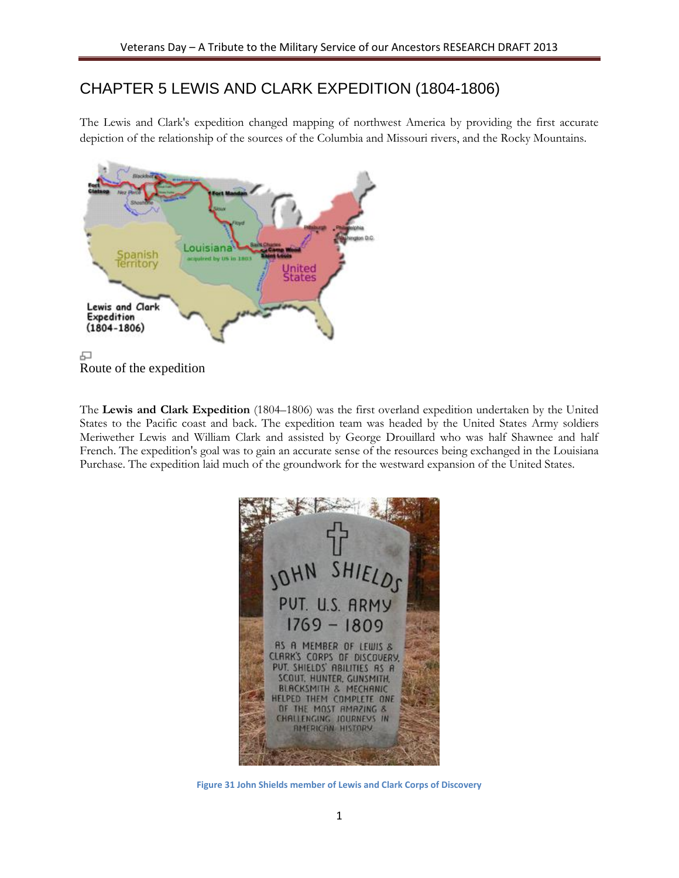# CHAPTER 5 LEWIS AND CLARK EXPEDITION (1804-1806)

The Lewis and Clark's expedition changed mapping of northwest America by providing the first accurate depiction of the relationship of the sources of the Columbia and Missouri rivers, and the Rocky Mountains.



Route of the expedition

The **Lewis and Clark Expedition** (1804–1806) was the first overland expedition undertaken by the United States to the Pacific coast and back. The expedition team was headed by the United States Army soldiers Meriwether Lewis and William Clark and assisted by George Drouillard who was half Shawnee and half French. The expedition's goal was to gain an accurate sense of the resources being exchanged in the Louisiana Purchase. The expedition laid much of the groundwork for the westward expansion of the United States.



**Figure 31 John Shields member of Lewis and Clark Corps of Discovery**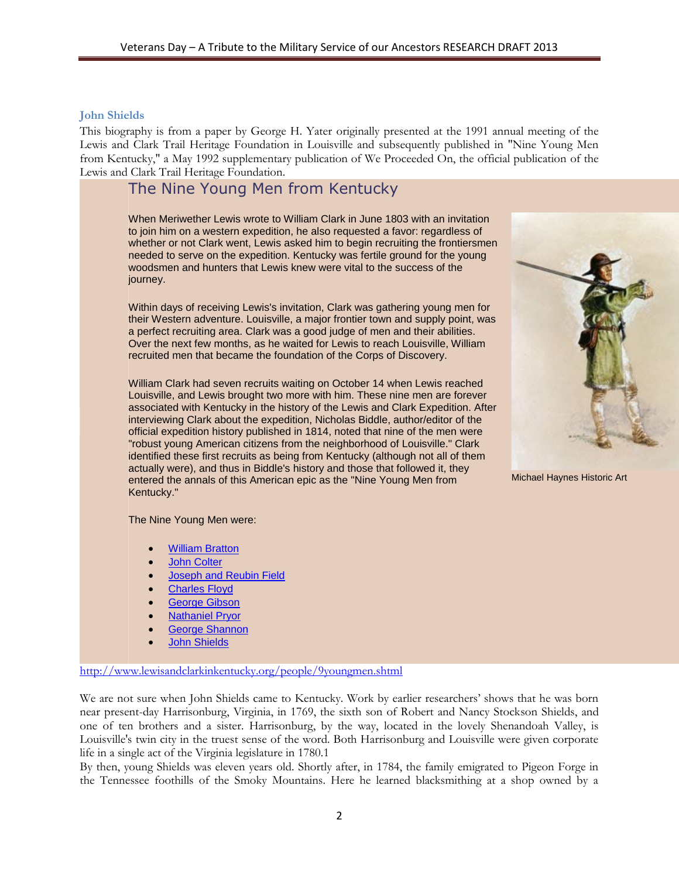#### **John Shields**

This biography is from a paper by George H. Yater originally presented at the 1991 annual meeting of the Lewis and Clark Trail Heritage Foundation in Louisville and subsequently published in "Nine Young Men from Kentucky," a May 1992 supplementary publication of We Proceeded On, the official publication of the Lewis and Clark Trail Heritage Foundation.

## The Nine Young Men from Kentucky

When Meriwether Lewis wrote to William Clark in June 1803 with an invitation to join him on a western expedition, he also requested a favor: regardless of whether or not Clark went, Lewis asked him to begin recruiting the frontiersmen needed to serve on the expedition. Kentucky was fertile ground for the young woodsmen and hunters that Lewis knew were vital to the success of the journey.

Within days of receiving Lewis's invitation, Clark was gathering young men for their Western adventure. Louisville, a major frontier town and supply point, was a perfect recruiting area. Clark was a good judge of men and their abilities. Over the next few months, as he waited for Lewis to reach Louisville, William recruited men that became the foundation of the Corps of Discovery.

William Clark had seven recruits waiting on October 14 when Lewis reached Louisville, and Lewis brought two more with him. These nine men are forever associated with Kentucky in the history of the Lewis and Clark Expedition. After interviewing Clark about the expedition, Nicholas Biddle, author/editor of the official expedition history published in 1814, noted that nine of the men were "robust young American citizens from the neighborhood of Louisville." Clark identified these first recruits as being from Kentucky (although not all of them actually were), and thus in Biddle's history and those that followed it, they entered the annals of this American epic as the "Nine Young Men from Kentucky."



Michael Haynes Historic Art

The Nine Young Men were:

- [William Bratton](http://www.lewisandclarkinkentucky.org/people/bratton.shtml)
- [John Colter](http://www.lewisandclarkinkentucky.org/people/colter.shtml)
- [Joseph and Reubin Field](http://www.lewisandclarkinkentucky.org/people/fields.shtml)
- [Charles Floyd](http://www.lewisandclarkinkentucky.org/people/floyd.shtml)
- [George Gibson](http://www.lewisandclarkinkentucky.org/people/gibson.shtml)
- [Nathaniel Pryor](http://www.lewisandclarkinkentucky.org/people/pryor.shtml)
- [George Shannon](http://www.lewisandclarkinkentucky.org/people/shannon.shtml)
- [John Shields](http://www.lewisandclarkinkentucky.org/people/shields.shtml)

<http://www.lewisandclarkinkentucky.org/people/9youngmen.shtml>

We are not sure when John Shields came to Kentucky. Work by earlier researchers' shows that he was born near present-day Harrisonburg, Virginia, in 1769, the sixth son of Robert and Nancy Stockson Shields, and one of ten brothers and a sister. Harrisonburg, by the way, located in the lovely Shenandoah Valley, is Louisville's twin city in the truest sense of the word. Both Harrisonburg and Louisville were given corporate life in a single act of the Virginia legislature in 1780.1

By then, young Shields was eleven years old. Shortly after, in 1784, the family emigrated to Pigeon Forge in the Tennessee foothills of the Smoky Mountains. Here he learned blacksmithing at a shop owned by a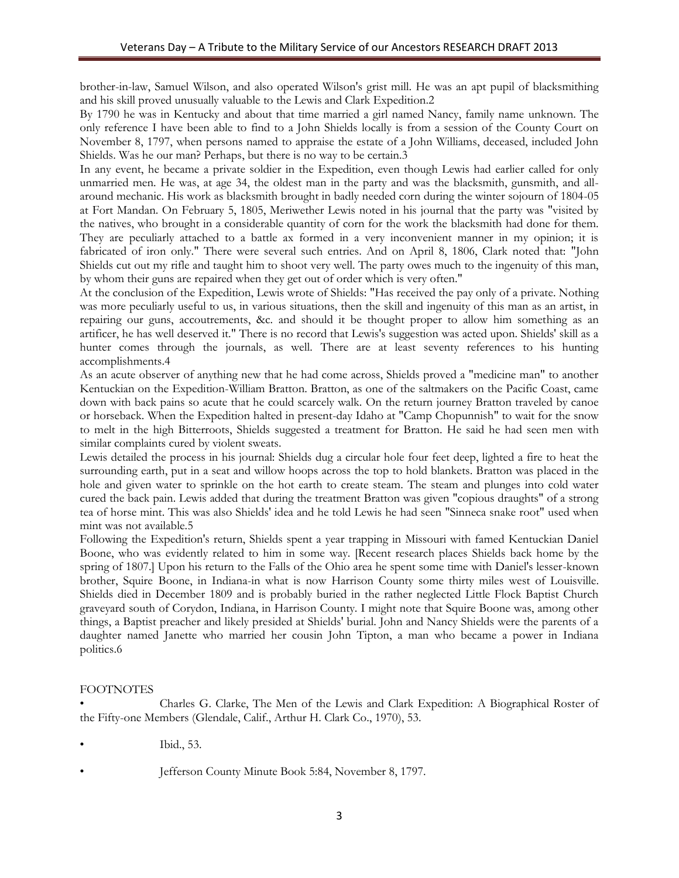brother-in-law, Samuel Wilson, and also operated Wilson's grist mill. He was an apt pupil of blacksmithing and his skill proved unusually valuable to the Lewis and Clark Expedition.2

By 1790 he was in Kentucky and about that time married a girl named Nancy, family name unknown. The only reference I have been able to find to a John Shields locally is from a session of the County Court on November 8, 1797, when persons named to appraise the estate of a John Williams, deceased, included John Shields. Was he our man? Perhaps, but there is no way to be certain.3

In any event, he became a private soldier in the Expedition, even though Lewis had earlier called for only unmarried men. He was, at age 34, the oldest man in the party and was the blacksmith, gunsmith, and allaround mechanic. His work as blacksmith brought in badly needed corn during the winter sojourn of 1804-05 at Fort Mandan. On February 5, 1805, Meriwether Lewis noted in his journal that the party was "visited by the natives, who brought in a considerable quantity of corn for the work the blacksmith had done for them. They are peculiarly attached to a battle ax formed in a very inconvenient manner in my opinion; it is fabricated of iron only." There were several such entries. And on April 8, 1806, Clark noted that: "John Shields cut out my rifle and taught him to shoot very well. The party owes much to the ingenuity of this man, by whom their guns are repaired when they get out of order which is very often."

At the conclusion of the Expedition, Lewis wrote of Shields: "Has received the pay only of a private. Nothing was more peculiarly useful to us, in various situations, then the skill and ingenuity of this man as an artist, in repairing our guns, accoutrements, &c. and should it be thought proper to allow him something as an artificer, he has well deserved it." There is no record that Lewis's suggestion was acted upon. Shields' skill as a hunter comes through the journals, as well. There are at least seventy references to his hunting accomplishments.4

As an acute observer of anything new that he had come across, Shields proved a "medicine man" to another Kentuckian on the Expedition-William Bratton. Bratton, as one of the saltmakers on the Pacific Coast, came down with back pains so acute that he could scarcely walk. On the return journey Bratton traveled by canoe or horseback. When the Expedition halted in present-day Idaho at "Camp Chopunnish" to wait for the snow to melt in the high Bitterroots, Shields suggested a treatment for Bratton. He said he had seen men with similar complaints cured by violent sweats.

Lewis detailed the process in his journal: Shields dug a circular hole four feet deep, lighted a fire to heat the surrounding earth, put in a seat and willow hoops across the top to hold blankets. Bratton was placed in the hole and given water to sprinkle on the hot earth to create steam. The steam and plunges into cold water cured the back pain. Lewis added that during the treatment Bratton was given "copious draughts" of a strong tea of horse mint. This was also Shields' idea and he told Lewis he had seen "Sinneca snake root" used when mint was not available.5

Following the Expedition's return, Shields spent a year trapping in Missouri with famed Kentuckian Daniel Boone, who was evidently related to him in some way. [Recent research places Shields back home by the spring of 1807.] Upon his return to the Falls of the Ohio area he spent some time with Daniel's lesser-known brother, Squire Boone, in Indiana-in what is now Harrison County some thirty miles west of Louisville. Shields died in December 1809 and is probably buried in the rather neglected Little Flock Baptist Church graveyard south of Corydon, Indiana, in Harrison County. I might note that Squire Boone was, among other things, a Baptist preacher and likely presided at Shields' burial. John and Nancy Shields were the parents of a daughter named Janette who married her cousin John Tipton, a man who became a power in Indiana politics.6

## FOOTNOTES

• Charles G. Clarke, The Men of the Lewis and Clark Expedition: A Biographical Roster of the Fifty-one Members (Glendale, Calif., Arthur H. Clark Co., 1970), 53.

- Ibid., 53.
- 
- Jefferson County Minute Book 5:84, November 8, 1797.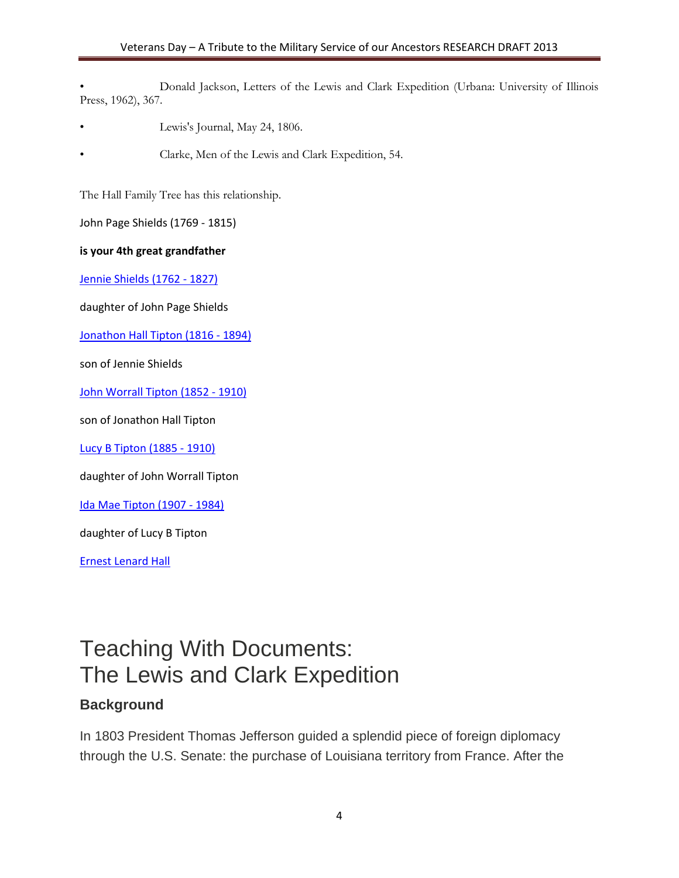• Donald Jackson, Letters of the Lewis and Clark Expedition (Urbana: University of Illinois Press, 1962), 367.

- Lewis's Journal, May 24, 1806.
- Clarke, Men of the Lewis and Clark Expedition, 54.

The Hall Family Tree has this relationship.

John Page Shields (1769 - 1815)

#### **is your 4th great grandfather**

[Jennie Shields \(1762 -](http://trees.ancestry.com/tree/4253511/person/-1549244330) 1827)

daughter of John Page Shields

[Jonathon Hall Tipton \(1816 -](http://trees.ancestry.com/tree/4253511/person/-1552045925) 1894)

son of Jennie Shields

[John Worrall Tipton \(1852 -](http://trees.ancestry.com/tree/4253511/person/-1552643038) 1910)

son of Jonathon Hall Tipton

[Lucy B Tipton \(1885 -](http://trees.ancestry.com/tree/4253511/person/-1631082605) 1910)

daughter of John Worrall Tipton

[Ida Mae Tipton \(1907 -](http://trees.ancestry.com/tree/4253511/person/-1631096657) 1984)

daughter of Lucy B Tipton

[Ernest Lenard Hall](http://trees.ancestry.com/tree/4253511/person/-1631096659)

# Teaching With Documents: The Lewis and Clark Expedition

## **Background**

In 1803 President Thomas Jefferson guided a splendid piece of foreign diplomacy through the U.S. Senate: the purchase of Louisiana territory from France. After the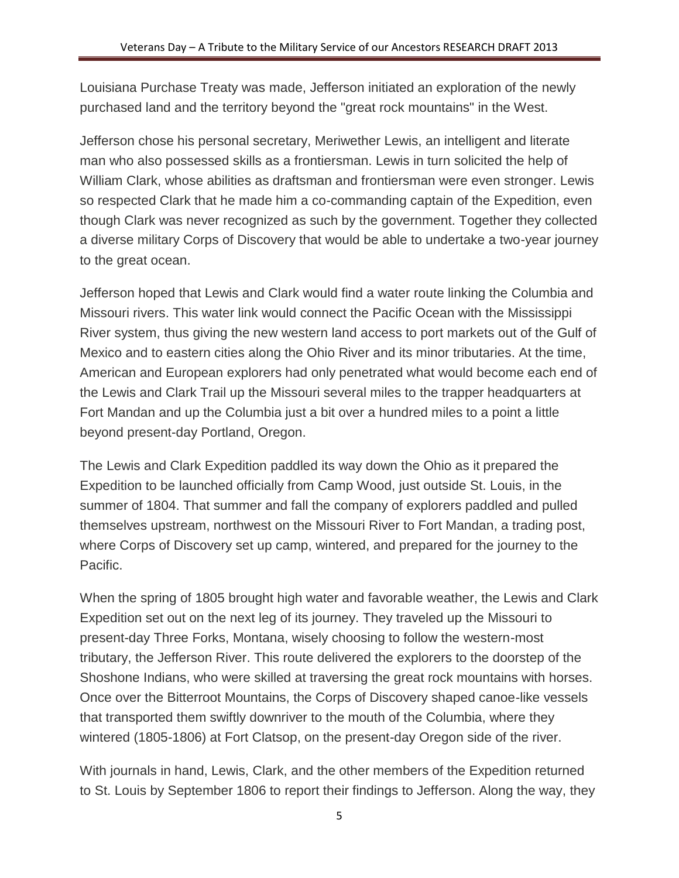Louisiana Purchase Treaty was made, Jefferson initiated an exploration of the newly purchased land and the territory beyond the "great rock mountains" in the West.

Jefferson chose his personal secretary, Meriwether Lewis, an intelligent and literate man who also possessed skills as a frontiersman. Lewis in turn solicited the help of William Clark, whose abilities as draftsman and frontiersman were even stronger. Lewis so respected Clark that he made him a co-commanding captain of the Expedition, even though Clark was never recognized as such by the government. Together they collected a diverse military Corps of Discovery that would be able to undertake a two-year journey to the great ocean.

Jefferson hoped that Lewis and Clark would find a water route linking the Columbia and Missouri rivers. This water link would connect the Pacific Ocean with the Mississippi River system, thus giving the new western land access to port markets out of the Gulf of Mexico and to eastern cities along the Ohio River and its minor tributaries. At the time, American and European explorers had only penetrated what would become each end of the Lewis and Clark Trail up the Missouri several miles to the trapper headquarters at Fort Mandan and up the Columbia just a bit over a hundred miles to a point a little beyond present-day Portland, Oregon.

The Lewis and Clark Expedition paddled its way down the Ohio as it prepared the Expedition to be launched officially from Camp Wood, just outside St. Louis, in the summer of 1804. That summer and fall the company of explorers paddled and pulled themselves upstream, northwest on the Missouri River to Fort Mandan, a trading post, where Corps of Discovery set up camp, wintered, and prepared for the journey to the Pacific.

When the spring of 1805 brought high water and favorable weather, the Lewis and Clark Expedition set out on the next leg of its journey. They traveled up the Missouri to present-day Three Forks, Montana, wisely choosing to follow the western-most tributary, the Jefferson River. This route delivered the explorers to the doorstep of the Shoshone Indians, who were skilled at traversing the great rock mountains with horses. Once over the Bitterroot Mountains, the Corps of Discovery shaped canoe-like vessels that transported them swiftly downriver to the mouth of the Columbia, where they wintered (1805-1806) at Fort Clatsop, on the present-day Oregon side of the river.

With journals in hand, Lewis, Clark, and the other members of the Expedition returned to St. Louis by September 1806 to report their findings to Jefferson. Along the way, they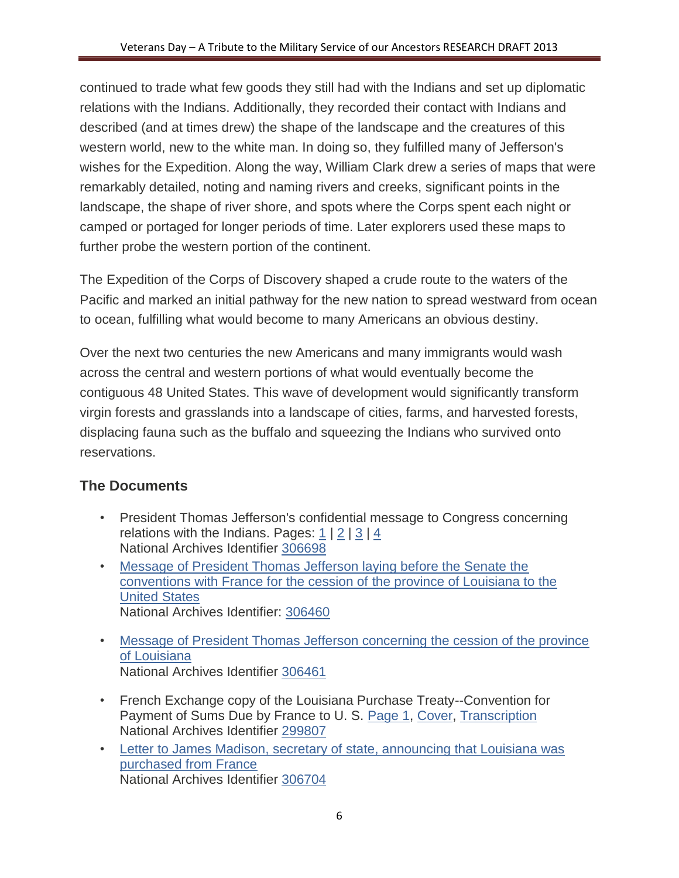continued to trade what few goods they still had with the Indians and set up diplomatic relations with the Indians. Additionally, they recorded their contact with Indians and described (and at times drew) the shape of the landscape and the creatures of this western world, new to the white man. In doing so, they fulfilled many of Jefferson's wishes for the Expedition. Along the way, William Clark drew a series of maps that were remarkably detailed, noting and naming rivers and creeks, significant points in the landscape, the shape of river shore, and spots where the Corps spent each night or camped or portaged for longer periods of time. Later explorers used these maps to further probe the western portion of the continent.

The Expedition of the Corps of Discovery shaped a crude route to the waters of the Pacific and marked an initial pathway for the new nation to spread westward from ocean to ocean, fulfilling what would become to many Americans an obvious destiny.

Over the next two centuries the new Americans and many immigrants would wash across the central and western portions of what would eventually become the contiguous 48 United States. This wave of development would significantly transform virgin forests and grasslands into a landscape of cities, farms, and harvested forests, displacing fauna such as the buffalo and squeezing the Indians who survived onto reservations.

## **The Documents**

- President Thomas Jefferson's confidential message to Congress concerning relations with the Indians. Pages:  $1 \mid 2 \mid 3 \mid 4$  $1 \mid 2 \mid 3 \mid 4$  $1 \mid 2 \mid 3 \mid 4$  $1 \mid 2 \mid 3 \mid 4$  $1 \mid 2 \mid 3 \mid 4$  $1 \mid 2 \mid 3 \mid 4$ National Archives Identifier [306698](http://research.archives.gov/description/306698)
- [Message of President Thomas Jefferson laying before the Senate the](http://www.archives.gov/education/lessons/lewis-clark/images/purchase-conventions-message.gif)  [conventions with France for the cession of the province of Louisiana to the](http://www.archives.gov/education/lessons/lewis-clark/images/purchase-conventions-message.gif)  [United States](http://www.archives.gov/education/lessons/lewis-clark/images/purchase-conventions-message.gif)  National Archives Identifier: [306460](http://research.archives.gov/description/306460)
- [Message of President Thomas Jefferson concerning the cession of the province](http://www.archives.gov/education/lessons/lewis-clark/images/jefferson-concerns.gif)  [of Louisiana](http://www.archives.gov/education/lessons/lewis-clark/images/jefferson-concerns.gif) National Archives Identifier [306461](http://research.archives.gov/description/306461)
- French Exchange copy of the Louisiana Purchase Treaty--Convention for Payment of Sums Due by France to U. S. [Page 1,](http://www.archives.gov/education/lessons/lewis-clark/images/treaty-01.jpg) [Cover,](http://www.archives.gov/education/lessons/lewis-clark/images/treaty-cover.jpg) [Transcription](http://www.archives.gov/exhibits/american_originals/louistxt.html) National Archives Identifier [299807](http://research.archives.gov/description/299807)
- [Letter to James Madison, secretary of state, announcing that Louisiana was](http://www.archives.gov/education/lessons/lewis-clark/images/madison-letter.gif)  [purchased from France](http://www.archives.gov/education/lessons/lewis-clark/images/madison-letter.gif) National Archives Identifier [306704](http://research.archives.gov/description/306704)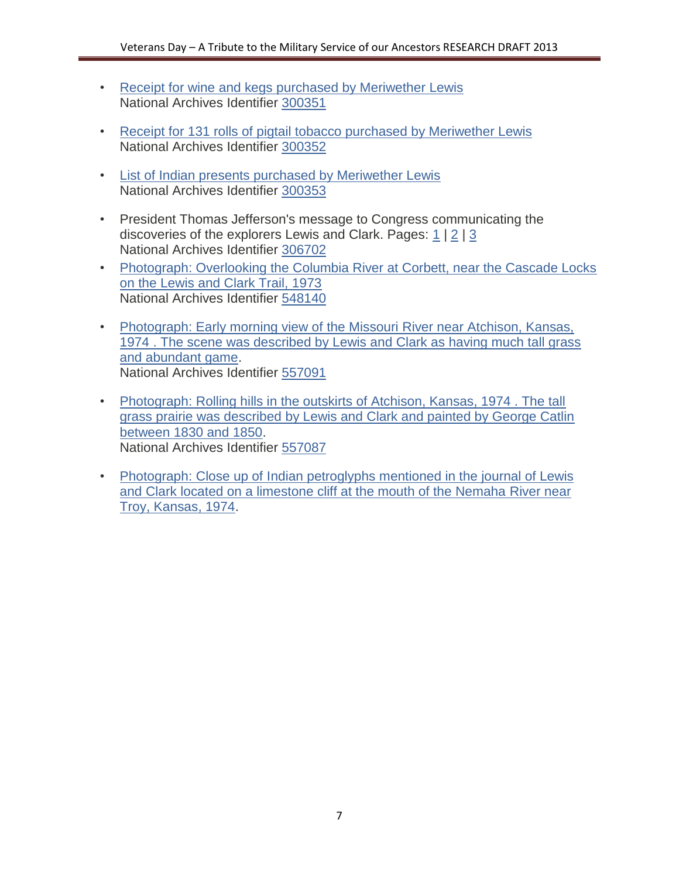- [Receipt for wine and kegs purchased by Meriwether Lewis](http://www.archives.gov/education/lessons/lewis-clark/images/wine-receipt.gif) National Archives Identifier [300351](http://research.archives.gov/description/300351)
- [Receipt for 131 rolls of pigtail tobacco purchased by Meriwether Lewis](http://www.archives.gov/education/lessons/lewis-clark/images/tobacco-receipt.gif) National Archives Identifier [300352](http://research.archives.gov/description/300352)
- [List of Indian presents purchased by Meriwether Lewis](http://www.archives.gov/education/lessons/lewis-clark/images/present-list.gif)  National Archives Identifier [300353](http://research.archives.gov/description/300353)
- President Thomas Jefferson's message to Congress communicating the discoveries of the explorers Lewis and Clark. Pages: [1](http://www.archives.gov/education/lessons/lewis-clark/images/discoveries-message-01.gif) | [2](http://www.archives.gov/education/lessons/lewis-clark/images/discoveries-message-02.gif) | [3](http://www.archives.gov/education/lessons/lewis-clark/images/discoveries-message-03.gif) National Archives Identifier [306702](http://research.archives.gov/description/306702)
- [Photograph: Overlooking the Columbia River at Corbett, near the Cascade Locks](http://www.archives.gov/education/lessons/lewis-clark/images/columbia-river.gif)  [on the Lewis and Clark Trail,](http://www.archives.gov/education/lessons/lewis-clark/images/columbia-river.gif) 1973 National Archives Identifier [548140](http://research.archives.gov/description/548140)
- [Photograph: Early morning view of the Missouri River near Atchison, Kansas,](http://www.archives.gov/education/lessons/lewis-clark/images/missouri-river.gif)  [1974 . The scene was described by Lewis and Clark as having much tall grass](http://www.archives.gov/education/lessons/lewis-clark/images/missouri-river.gif)  [and abundant game.](http://www.archives.gov/education/lessons/lewis-clark/images/missouri-river.gif) National Archives Identifier [557091](http://research.archives.gov/description/557091)
- [Photograph: Rolling hills in the outskirts of Atchison, Kansas, 1974 . The tall](http://www.archives.gov/education/lessons/lewis-clark/images/rolling-hills.gif)  [grass prairie was described by Lewis and Clark and painted by George Catlin](http://www.archives.gov/education/lessons/lewis-clark/images/rolling-hills.gif)  [between 1830 and 1850.](http://www.archives.gov/education/lessons/lewis-clark/images/rolling-hills.gif) National Archives Identifier [557087](http://research.archives.gov/description/557087)
- [Photograph: Close up of Indian petroglyphs mentioned in the journal of Lewis](http://www.archives.gov/education/lessons/lewis-clark/images/petroglyphs.gif)  [and Clark located on a limestone cliff at the mouth of the Nemaha River near](http://www.archives.gov/education/lessons/lewis-clark/images/petroglyphs.gif)  [Troy, Kansas, 1974.](http://www.archives.gov/education/lessons/lewis-clark/images/petroglyphs.gif)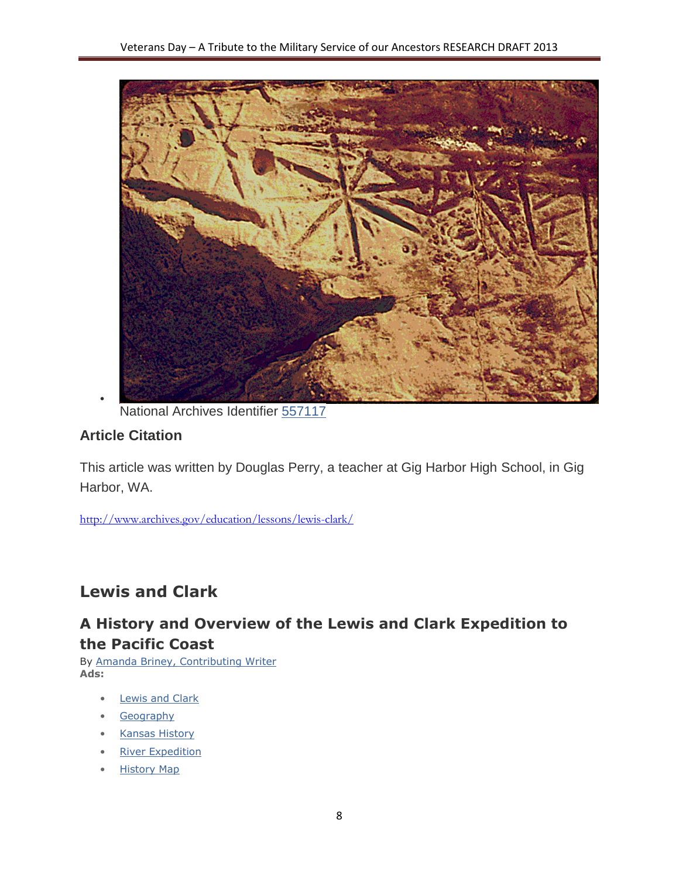

National Archives Identifier [557117](http://research.archives.gov/description/557117)

## **Article Citation**

•

This article was written by Douglas Perry, a teacher at Gig Harbor High School, in Gig Harbor, WA.

<http://www.archives.gov/education/lessons/lewis-clark/>

# **Lewis and Clark**

## **A History and Overview of the Lewis and Clark Expedition to the Pacific Coast**

By [Amanda Briney, Contributing Writer](http://geography.about.com/od/geographyintern/a/amandabio.htm) **Ads:**

- **[Lewis and Clark](http://geography.about.com/z/js/o.htm?k=lewis%20and%20clark&d=Lewis%20and%20Clark&r=http://geography.about.com/od/historyofgeography/a/lewisclark.htm)**
- [Geography](http://geography.about.com/z/js/o.htm?k=geography&d=Geography&r=http://geography.about.com/od/historyofgeography/a/lewisclark.htm)
- [Kansas History](http://geography.about.com/z/js/o.htm?k=kansas%20history&d=Kansas%20History&r=http://geography.about.com/od/historyofgeography/a/lewisclark.htm)
- [River Expedition](http://geography.about.com/z/js/o.htm?k=river%20expedition&d=River%20Expedition&r=http://geography.about.com/od/historyofgeography/a/lewisclark.htm)
- [History Map](http://geography.about.com/z/js/o.htm?k=history%20map&d=History%20Map&r=http://geography.about.com/od/historyofgeography/a/lewisclark.htm)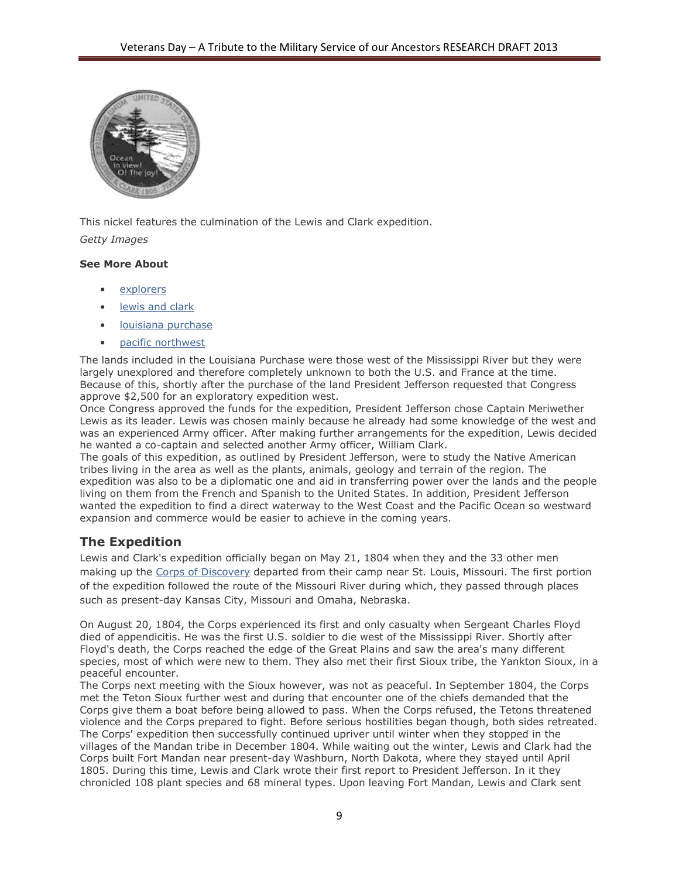

This nickel features the culmination of the Lewis and Clark expedition. *Getty Images*

#### **See More About**

- [explorers](http://geography.about.com/lr/explorers/496043/1/)
- [lewis and clark](http://geography.about.com/lr/lewis_and_clark/496043/2/)
- [louisiana purchase](http://geography.about.com/lr/louisiana_purchase/496043/3/)
- [pacific northwest](http://geography.about.com/lr/pacific_northwest/496043/4/)

The lands included in the Louisiana Purchase were those west of the Mississippi River but they were largely unexplored and therefore completely unknown to both the U.S. and France at the time. Because of this, shortly after the purchase of the land President Jefferson requested that Congress approve \$2,500 for an exploratory expedition west.

Once Congress approved the funds for the expedition, President Jefferson chose Captain Meriwether Lewis as its leader. Lewis was chosen mainly because he already had some knowledge of the west and was an experienced Army officer. After making further arrangements for the expedition, Lewis decided he wanted a co-captain and selected another Army officer, William Clark.

The goals of this expedition, as outlined by President Jefferson, were to study the Native American tribes living in the area as well as the plants, animals, geology and terrain of the region. The expedition was also to be a diplomatic one and aid in transferring power over the lands and the people living on them from the French and Spanish to the United States. In addition, President Jefferson wanted the expedition to find a direct waterway to the West Coast and the Pacific Ocean so westward expansion and commerce would be easier to achieve in the coming years.

## **The Expedition**

Lewis and Clark's expedition officially began on May 21, 1804 when they and the 33 other men making up the [Corps of Discovery](http://www.pbs.org/lewisandclark/inside/index.html) departed from their camp near St. Louis, Missouri. The first portion of the expedition followed the route of the Missouri River during which, they passed through places such as present-day Kansas City, Missouri and Omaha, Nebraska.

On August 20, 1804, the Corps experienced its first and only casualty when Sergeant Charles Floyd died of appendicitis. He was the first U.S. soldier to die west of the Mississippi River. Shortly after Floyd's death, the Corps reached the edge of the Great Plains and saw the area's many different species, most of which were new to them. They also met their first Sioux tribe, the Yankton Sioux, in a peaceful encounter.

The Corps next meeting with the Sioux however, was not as peaceful. In September 1804, the Corps met the Teton Sioux further west and during that encounter one of the chiefs demanded that the Corps give them a boat before being allowed to pass. When the Corps refused, the Tetons threatened violence and the Corps prepared to fight. Before serious hostilities began though, both sides retreated. The Corps' expedition then successfully continued upriver until winter when they stopped in the villages of the Mandan tribe in December 1804. While waiting out the winter, Lewis and Clark had the Corps built Fort Mandan near present-day Washburn, North Dakota, where they stayed until April 1805. During this time, Lewis and Clark wrote their first report to President Jefferson. In it they chronicled 108 plant species and 68 mineral types. Upon leaving Fort Mandan, Lewis and Clark sent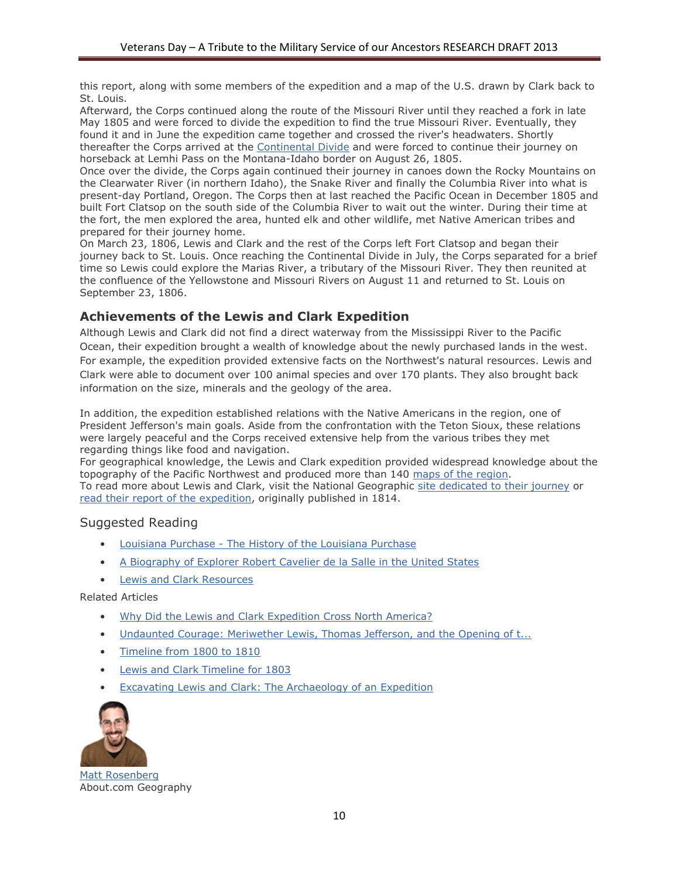this report, along with some members of the expedition and a map of the U.S. drawn by Clark back to St. Louis.

Afterward, the Corps continued along the route of the Missouri River until they reached a fork in late May 1805 and were forced to divide the expedition to find the true Missouri River. Eventually, they found it and in June the expedition came together and crossed the river's headwaters. Shortly thereafter the Corps arrived at the [Continental Divide](http://geography.about.com/od/geographyglossaryc/g/ggcontinentaldi.htm) and were forced to continue their journey on horseback at Lemhi Pass on the Montana-Idaho border on August 26, 1805.

Once over the divide, the Corps again continued their journey in canoes down the Rocky Mountains on the Clearwater River (in northern Idaho), the Snake River and finally the Columbia River into what is present-day Portland, Oregon. The Corps then at last reached the Pacific Ocean in December 1805 and built Fort Clatsop on the south side of the Columbia River to wait out the winter. During their time at the fort, the men explored the area, hunted elk and other wildlife, met Native American tribes and prepared for their journey home.

On March 23, 1806, Lewis and Clark and the rest of the Corps left Fort Clatsop and began their journey back to St. Louis. Once reaching the Continental Divide in July, the Corps separated for a brief time so Lewis could explore the Marias River, a tributary of the Missouri River. They then reunited at the confluence of the Yellowstone and Missouri Rivers on August 11 and returned to St. Louis on September 23, 1806.

## **Achievements of the Lewis and Clark Expedition**

Although Lewis and Clark did not find a direct waterway from the Mississippi River to the Pacific Ocean, their expedition brought a wealth of knowledge about the newly purchased lands in the west. For example, the expedition provided extensive facts on the Northwest's natural resources. Lewis and Clark were able to document over 100 animal species and over 170 plants. They also brought back information on the size, minerals and the geology of the area.

In addition, the expedition established relations with the Native Americans in the region, one of President Jefferson's main goals. Aside from the confrontation with the Teton Sioux, these relations were largely peaceful and the Corps received extensive help from the various tribes they met regarding things like food and navigation.

For geographical knowledge, the Lewis and Clark expedition provided widespread knowledge about the topography of the Pacific Northwest and produced more than 140 maps of the region. To read more about Lewis and Clark, visit the National Geographic [site dedicated to their journey](http://www.nationalgeographic.com/lewisandclark/index.html) or

[read their report of the expedition,](http://erclk.about.com/?zi=12/2t94) originally published in 1814.

#### Suggested Reading

- Louisiana Purchase [The History of the Louisiana Purchase](http://geography.about.com/od/historyofgeography/a/louisianapurcha.htm)
- [A Biography of Explorer Robert Cavelier de la Salle in the United States](http://geography.about.com/od/historyofgeography/a/delasalle.htm)
- [Lewis and Clark Resources](http://history1800s.about.com/od/lewisandclark/Lewis_and_Clark.htm)

Related Articles

- [Why Did the Lewis and Clark Expedition Cross North America?](http://history1800s.about.com/od/lewisandclark/f/lewisclarkwhy.htm)
- [Undaunted Courage: Meriwether Lewis, Thomas Jefferson, and the Opening of t...](http://geography.about.com/library/misc/blundaunted.htm)
- [Timeline from 1800 to 1810](http://history1800s.about.com/od/timelines/a/1800-10timeline.htm)
- [Lewis and Clark Timeline for 1803](http://history1800s.about.com/od/lewisandclark/tp/LewisClark1803.htm)
- [Excavating Lewis and Clark: The Archaeology of an Expedition](http://archaeology.about.com/od/explorers/a/lewisandclark.htm)



[Matt Rosenberg](http://geography.about.com/bio/Matt-Rosenberg-268.htm) About.com Geography